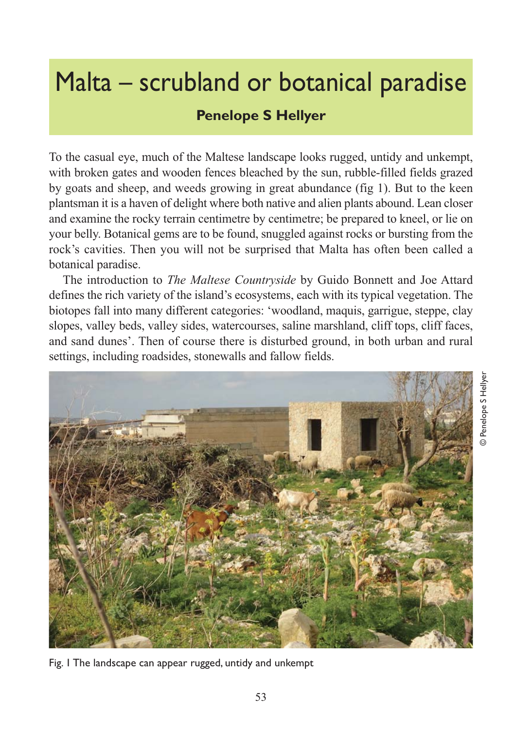## Malta – scrubland or botanical paradise

## **Penelope S Hellyer**

To the casual eye, much of the Maltese landscape looks rugged, untidy and unkempt, with broken gates and wooden fences bleached by the sun, rubble-filled fields grazed by goats and sheep, and weeds growing in great abundance (fig 1). But to the keen plantsman it is a haven of delight where both native and alien plants abound. Lean closer and examine the rocky terrain centimetre by centimetre; be prepared to kneel, or lie on your belly. Botanical gems are to be found, snuggled against rocks or bursting from the rock's cavities. Then you will not be surprised that Malta has often been called a botanical paradise.

The introduction to *The Maltese Countryside* by Guido Bonnett and Joe Attard defines the rich variety of the island's ecosystems, each with its typical vegetation. The biotopes fall into many different categories: 'woodland, maquis, garrigue, steppe, clay slopes, valley beds, valley sides, watercourses, saline marshland, cliff tops, cliff faces, and sand dunes'. Then of course there is disturbed ground, in both urban and rural settings, including roadsides, stonewalls and fallow fields.



Fig. 1 The landscape can appear rugged, untidy and unkempt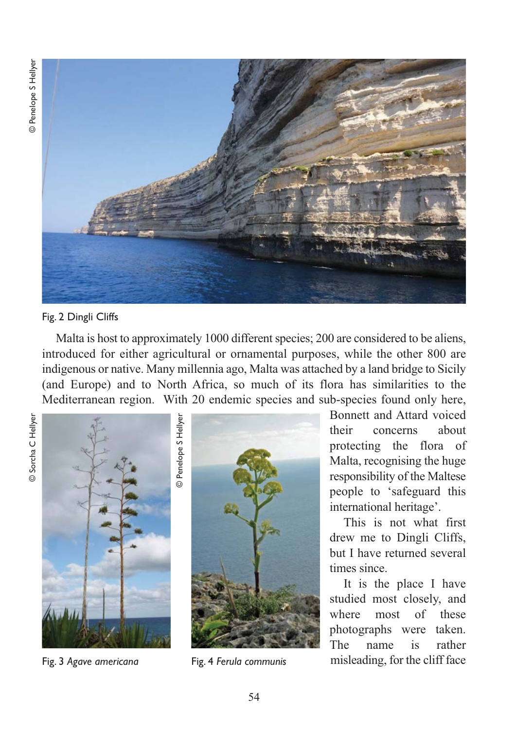

Fig. 2 Dingli Cliffs

Malta is host to approximately 1000 different species; 200 are considered to be aliens, introduced for either agricultural or ornamental purposes, while the other 800 are indigenous or native. Many millennia ago, Malta was attached by a land bridge to Sicily (and Europe) and to North Africa, so much of its flora has similarities to the Mediterranean region. With 20 endemic species and sub-species found only here,





Fig. 4 *Ferula communis*

Bonnett and Attard voiced their concerns about protecting the flora of Malta, recognising the huge responsibility of the Maltese people to 'safeguard this international heritage'.

This is not what first drew me to Dingli Cliffs, but I have returned several times since.

It is the place I have studied most closely, and where most of these photographs were taken. The name is rather Fig. 3 Agave americana **Fig. 4 Ferula communis** misleading, for the cliff face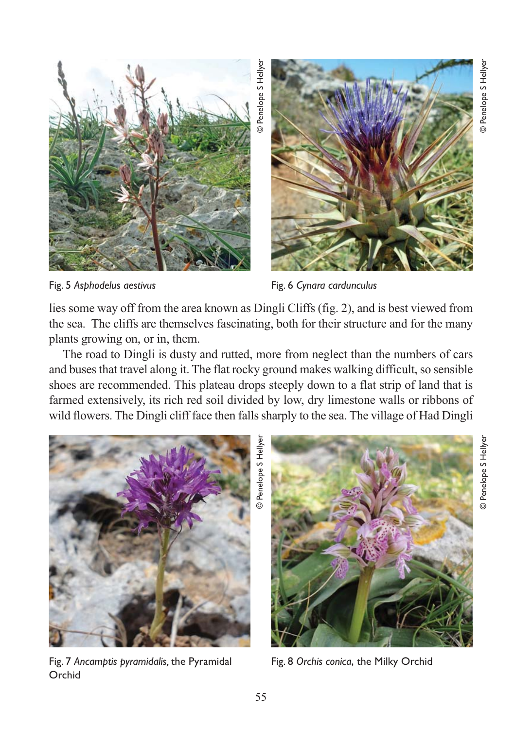

Fig. 5 *Asphodelus aestivus*

Fig. 6 *Cynara cardunculus*

lies some way off from the area known as Dingli Cliffs (fig. 2), and is best viewed from the sea. The cliffs are themselves fascinating, both for their structure and for the many plants growing on, or in, them.

The road to Dingli is dusty and rutted, more from neglect than the numbers of cars and buses that travel along it. The flat rocky ground makes walking difficult, so sensible shoes are recommended. This plateau drops steeply down to a flat strip of land that is farmed extensively, its rich red soil divided by low, dry limestone walls or ribbons of wild flowers. The Dingli cliff face then falls sharply to the sea. The village of Had Dingli



Fig. 7 *Ancamptis pyramidalis,* the Pyramidal Orchid



Fig. 8 *Orchis conica*, the Milky Orchid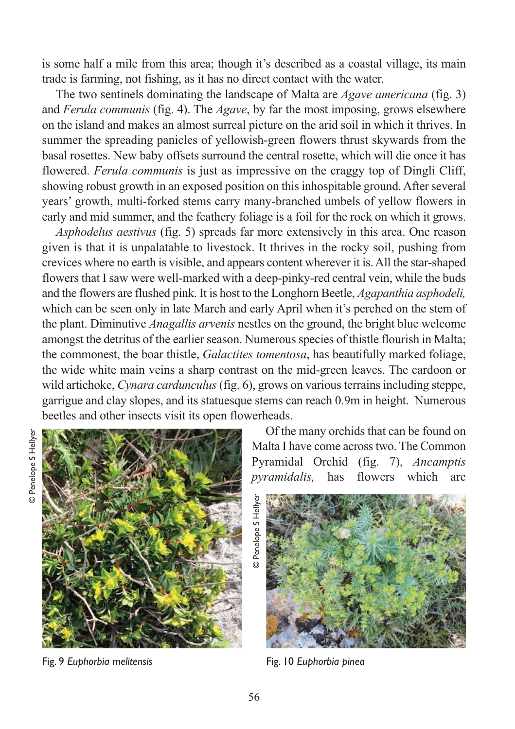is some half a mile from this area; though it's described as a coastal village, its main trade is farming, not fishing, as it has no direct contact with the water.

The two sentinels dominating the landscape of Malta are *Agave americana* (fig. 3) and *Ferula communis* (fig. 4). The *Agave*, by far the most imposing, grows elsewhere on the island and makes an almost surreal picture on the arid soil in which it thrives. In summer the spreading panicles of yellowish-green flowers thrust skywards from the basal rosettes. New baby offsets surround the central rosette, which will die once it has flowered. *Ferula communis* is just as impressive on the craggy top of Dingli Cliff, showing robust growth in an exposed position on this inhospitable ground. After several years' growth, multi-forked stems carry many-branched umbels of yellow flowers in early and mid summer, and the feathery foliage is a foil for the rock on which it grows.

*Asphodelus aestivus* (fig. 5) spreads far more extensively in this area. One reason given is that it is unpalatable to livestock. It thrives in the rocky soil, pushing from crevices where no earth is visible, and appears content wherever it is. All the star-shaped flowers that I saw were well-marked with a deep-pinky-red central vein, while the buds and the flowers are flushed pink. It is host to the Longhorn Beetle, *Agapanthia asphodeli,* which can be seen only in late March and early April when it's perched on the stem of the plant. Diminutive *Anagallis arvenis* nestles on the ground, the bright blue welcome amongst the detritus of the earlier season. Numerous species of thistle flourish in Malta; the commonest, the boar thistle, *Galactites tomentosa*, has beautifully marked foliage, the wide white main veins a sharp contrast on the mid-green leaves. The cardoon or wild artichoke, *Cynara cardunculus* (fig. 6), grows on various terrains including steppe, garrigue and clay slopes, and its statuesque stems can reach 0.9m in height. Numerous beetles and other insects visit its open flowerheads.



Fig. 9 *Euphorbia melitensis* 

Of the many orchids that can be found on Malta I have come across two. The Common Pyramidal Orchid (fig. 7), *Ancamptis pyramidalis,* has flowers which are



Fig. 10 *Euphorbia pinea*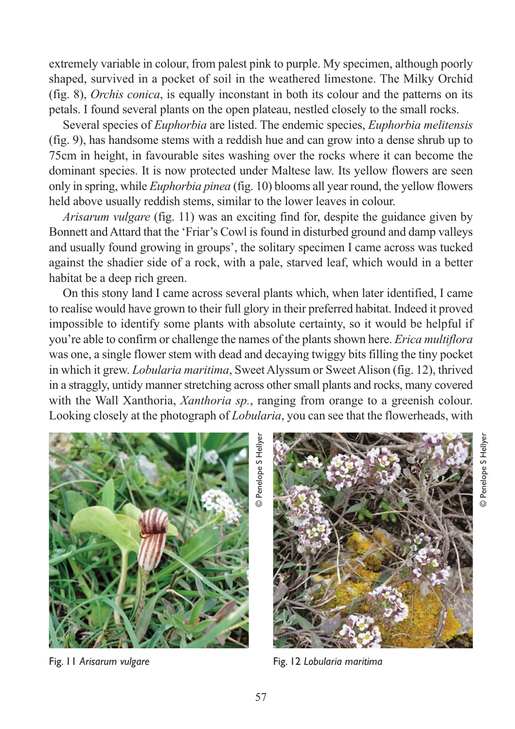extremely variable in colour, from palest pink to purple. My specimen, although poorly shaped, survived in a pocket of soil in the weathered limestone. The Milky Orchid (fig. 8), *Orchis conica*, is equally inconstant in both its colour and the patterns on its petals. I found several plants on the open plateau, nestled closely to the small rocks.

Several species of *Euphorbia* are listed. The endemic species, *Euphorbia melitensis* (fig. 9), has handsome stems with a reddish hue and can grow into a dense shrub up to 75cm in height, in favourable sites washing over the rocks where it can become the dominant species. It is now protected under Maltese law. Its yellow flowers are seen only in spring, while *Euphorbia pinea* (fig. 10) blooms all year round, the yellow flowers held above usually reddish stems, similar to the lower leaves in colour.

*Arisarum vulgare* (fig. 11) was an exciting find for, despite the guidance given by Bonnett and Attard that the 'Friar's Cowl is found in disturbed ground and damp valleys and usually found growing in groups', the solitary specimen I came across was tucked against the shadier side of a rock, with a pale, starved leaf, which would in a better habitat be a deep rich green.

On this stony land I came across several plants which, when later identified, I came to realise would have grown to their full glory in their preferred habitat. Indeed it proved impossible to identify some plants with absolute certainty, so it would be helpful if you're able to confirm or challenge the names of the plants shown here. *Erica multiflora* was one, a single flower stem with dead and decaying twiggy bits filling the tiny pocket in which it grew. *Lobularia maritima*, Sweet Alyssum or Sweet Alison (fig. 12), thrived in a straggly, untidy manner stretching across other small plants and rocks, many covered with the Wall Xanthoria, *Xanthoria sp.*, ranging from orange to a greenish colour. Looking closely at the photograph of *Lobularia*, you can see that the flowerheads, with



Fig. 11 *Arisarum vulgare*

Fig. 12 *Lobularia maritima*